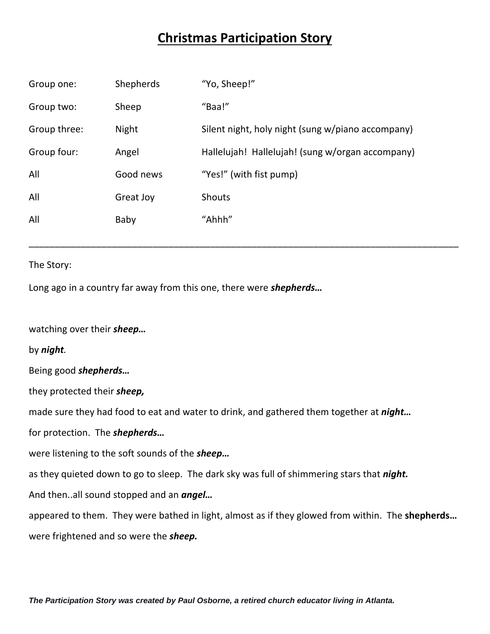# **Christmas Participation Story**

| Group one:   | Shepherds    | "Yo, Sheep!"                                      |
|--------------|--------------|---------------------------------------------------|
| Group two:   | Sheep        | "Baa!"                                            |
| Group three: | <b>Night</b> | Silent night, holy night (sung w/piano accompany) |
| Group four:  | Angel        | Hallelujah! Hallelujah! (sung w/organ accompany)  |
| All          | Good news    | "Yes!" (with fist pump)                           |
| All          | Great Joy    | Shouts                                            |
| All          | Baby         | "Ahhh"                                            |
|              |              |                                                   |

\_\_\_\_\_\_\_\_\_\_\_\_\_\_\_\_\_\_\_\_\_\_\_\_\_\_\_\_\_\_\_\_\_\_\_\_\_\_\_\_\_\_\_\_\_\_\_\_\_\_\_\_\_\_\_\_\_\_\_\_\_\_\_\_\_\_\_\_\_\_\_\_\_\_\_\_\_\_\_\_\_\_\_

#### The Story:

Long ago in a country far away from this one, there were *shepherds…*

watching over their *sheep…*

by *night.*

Being good *shepherds…*

they protected their *sheep,*

made sure they had food to eat and water to drink, and gathered them together at *night…*

for protection. The *shepherds…*

were listening to the soft sounds of the *sheep…*

as they quieted down to go to sleep. The dark sky was full of shimmering stars that *night.*

And then..all sound stopped and an *angel…*

appeared to them. They were bathed in light, almost as if they glowed from within. The **shepherds…**

were frightened and so were the *sheep.*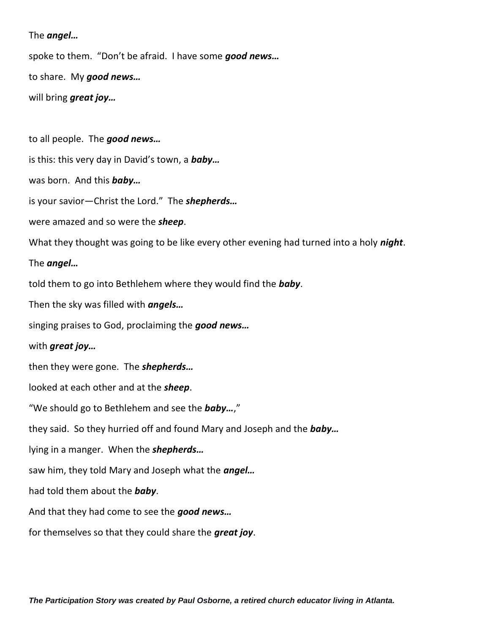The *angel…*

spoke to them. "Don't be afraid. I have some *good news…*

to share. My *good news…*

will bring *great joy…*

to all people. The *good news…*

is this: this very day in David's town, a *baby…*

was born. And this *baby…*

is your savior—Christ the Lord." The *shepherds…*

were amazed and so were the *sheep*.

What they thought was going to be like every other evening had turned into a holy *night*.

# The *angel…*

told them to go into Bethlehem where they would find the *baby*.

Then the sky was filled with *angels…*

singing praises to God, proclaiming the *good news…*

## with *great joy…*

then they were gone. The *shepherds…*

looked at each other and at the *sheep*.

"We should go to Bethlehem and see the *baby…*,"

they said. So they hurried off and found Mary and Joseph and the *baby…*

lying in a manger. When the *shepherds…*

saw him, they told Mary and Joseph what the *angel…*

had told them about the *baby*.

And that they had come to see the *good news…*

for themselves so that they could share the *great joy*.